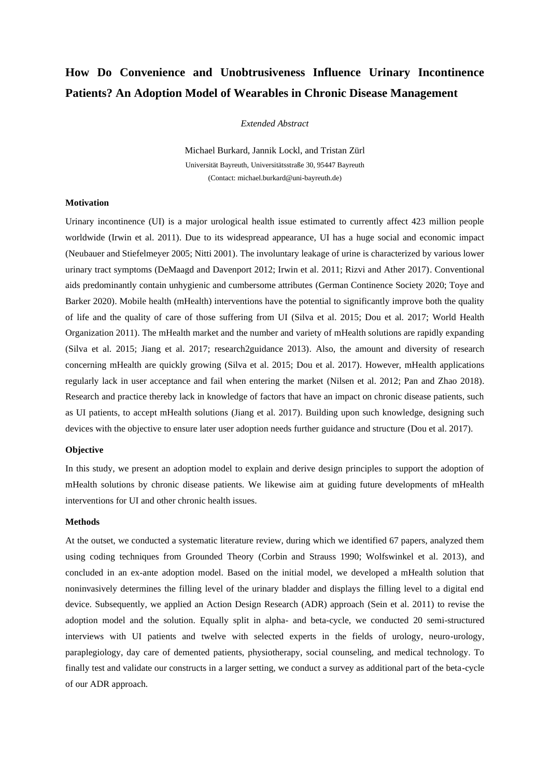# **How Do Convenience and Unobtrusiveness Influence Urinary Incontinence Patients? An Adoption Model of Wearables in Chronic Disease Management**

*Extended Abstract*

Michael Burkard, Jannik Lockl, and Tristan Zürl Universität Bayreuth, Universitätsstraße 30, 95447 Bayreuth (Contact: michael.burkard@uni-bayreuth.de)

## **Motivation**

Urinary incontinence (UI) is a major urological health issue estimated to currently affect 423 million people worldwide (Irwin et al. 2011). Due to its widespread appearance, UI has a huge social and economic impact (Neubauer and Stiefelmeyer 2005; Nitti 2001). The involuntary leakage of urine is characterized by various lower urinary tract symptoms (DeMaagd and Davenport 2012; Irwin et al. 2011; Rizvi and Ather 2017). Conventional aids predominantly contain unhygienic and cumbersome attributes (German Continence Society 2020; Toye and Barker 2020). Mobile health (mHealth) interventions have the potential to significantly improve both the quality of life and the quality of care of those suffering from UI (Silva et al. 2015; Dou et al. 2017; World Health Organization 2011). The mHealth market and the number and variety of mHealth solutions are rapidly expanding (Silva et al. 2015; Jiang et al. 2017; research2guidance 2013). Also, the amount and diversity of research concerning mHealth are quickly growing (Silva et al. 2015; Dou et al. 2017). However, mHealth applications regularly lack in user acceptance and fail when entering the market (Nilsen et al. 2012; Pan and Zhao 2018). Research and practice thereby lack in knowledge of factors that have an impact on chronic disease patients, such as UI patients, to accept mHealth solutions (Jiang et al. 2017). Building upon such knowledge, designing such devices with the objective to ensure later user adoption needs further guidance and structure (Dou et al. 2017).

## **Objective**

In this study, we present an adoption model to explain and derive design principles to support the adoption of mHealth solutions by chronic disease patients. We likewise aim at guiding future developments of mHealth interventions for UI and other chronic health issues.

#### **Methods**

At the outset, we conducted a systematic literature review, during which we identified 67 papers, analyzed them using coding techniques from Grounded Theory (Corbin and Strauss 1990; Wolfswinkel et al. 2013), and concluded in an ex-ante adoption model. Based on the initial model, we developed a mHealth solution that noninvasively determines the filling level of the urinary bladder and displays the filling level to a digital end device. Subsequently, we applied an Action Design Research (ADR) approach (Sein et al. 2011) to revise the adoption model and the solution. Equally split in alpha- and beta-cycle, we conducted 20 semi-structured interviews with UI patients and twelve with selected experts in the fields of urology, neuro-urology, paraplegiology, day care of demented patients, physiotherapy, social counseling, and medical technology. To finally test and validate our constructs in a larger setting, we conduct a survey as additional part of the beta-cycle of our ADR approach.